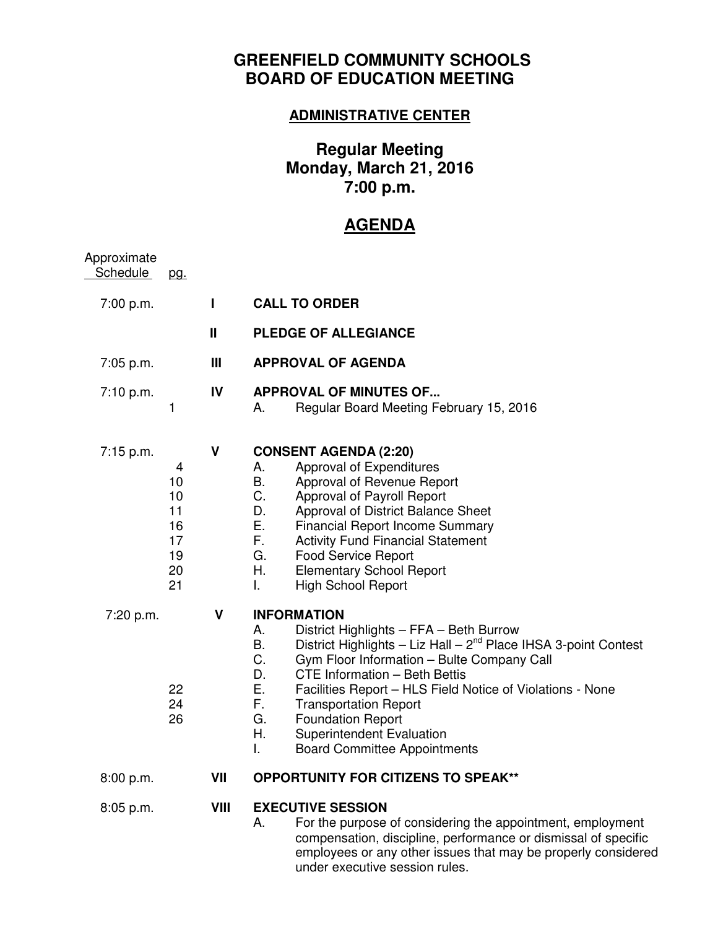# **GREENFIELD COMMUNITY SCHOOLS BOARD OF EDUCATION MEETING**

### **ADMINISTRATIVE CENTER**

# **Regular Meeting Monday, March 21, 2016 7:00 p.m.**

# **AGENDA**

| Approximate<br><b>Schedule</b> | <u>pg.</u>                                        |              |                                                                                                                                                                                                                                                                                                                                                                                                                                                                                       |
|--------------------------------|---------------------------------------------------|--------------|---------------------------------------------------------------------------------------------------------------------------------------------------------------------------------------------------------------------------------------------------------------------------------------------------------------------------------------------------------------------------------------------------------------------------------------------------------------------------------------|
| 7:00 p.m.                      |                                                   | $\mathbf{I}$ | <b>CALL TO ORDER</b>                                                                                                                                                                                                                                                                                                                                                                                                                                                                  |
|                                |                                                   | Ш            | <b>PLEDGE OF ALLEGIANCE</b>                                                                                                                                                                                                                                                                                                                                                                                                                                                           |
| 7:05 p.m.                      |                                                   | Ш            | <b>APPROVAL OF AGENDA</b>                                                                                                                                                                                                                                                                                                                                                                                                                                                             |
| 7:10 p.m.                      | 1                                                 | IV           | <b>APPROVAL OF MINUTES OF</b><br>Regular Board Meeting February 15, 2016<br>А.                                                                                                                                                                                                                                                                                                                                                                                                        |
| $7:15$ p.m.                    | 4<br>10<br>10<br>11<br>16<br>17<br>19<br>20<br>21 | V            | <b>CONSENT AGENDA (2:20)</b><br>Approval of Expenditures<br>А.<br>В.<br>Approval of Revenue Report<br>C.<br>Approval of Payroll Report<br>D.<br>Approval of District Balance Sheet<br>Е.<br><b>Financial Report Income Summary</b><br>F.<br><b>Activity Fund Financial Statement</b><br>G.<br><b>Food Service Report</b><br>Η.<br><b>Elementary School Report</b><br>L.<br><b>High School Report</b>                                                                                  |
| 7:20 p.m.                      | 22<br>24<br>26                                    | V            | <b>INFORMATION</b><br>District Highlights - FFA - Beth Burrow<br>А.<br>District Highlights - Liz Hall - 2 <sup>nd</sup> Place IHSA 3-point Contest<br>В.<br>C.<br>Gym Floor Information - Bulte Company Call<br>D.<br>CTE Information - Beth Bettis<br>Е.<br>Facilities Report - HLS Field Notice of Violations - None<br>F.<br><b>Transportation Report</b><br>G.<br><b>Foundation Report</b><br>Н.<br><b>Superintendent Evaluation</b><br>I.<br><b>Board Committee Appointments</b> |
| 8:00 p.m.                      |                                                   | VII          | <b>OPPORTUNITY FOR CITIZENS TO SPEAK**</b>                                                                                                                                                                                                                                                                                                                                                                                                                                            |
| 8:05 p.m.                      |                                                   | VIII         | <b>EXECUTIVE SESSION</b><br>For the purpose of considering the appointment, employment<br>А.<br>compensation, discipline, performance or dismissal of specific<br>employees or any other issues that may be properly considered<br>under executive session rules.                                                                                                                                                                                                                     |